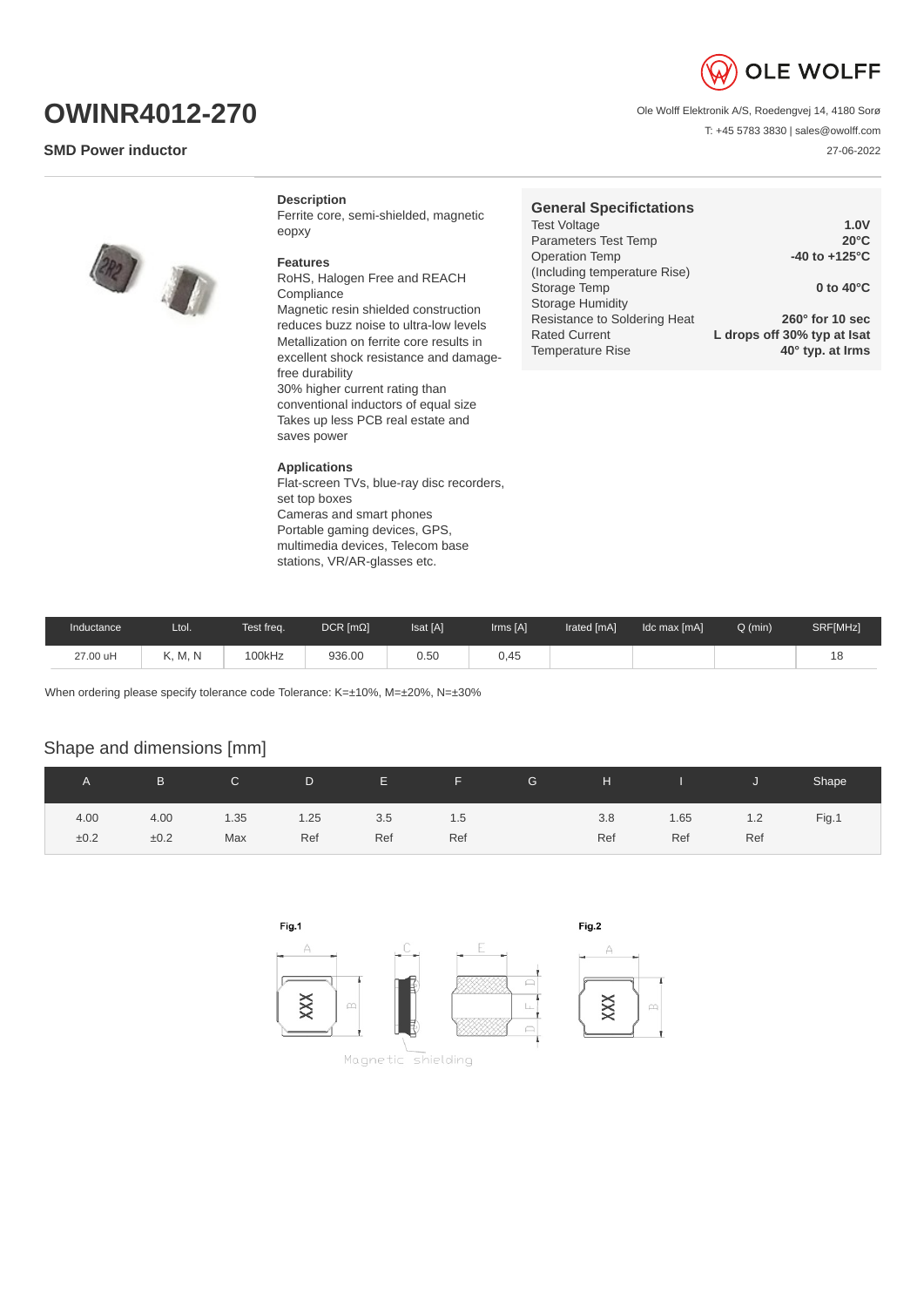

T: +45 5783 3830 | sales@owolff.com

27-06-2022

Ole Wolff Elektronik A/S, Roedengvej 14, 4180 Sorø

**OWINR4012-270**

## **SMD Power inductor**

**Description**

Ferrite core, semi-shielded, magnetic eopxy

## **Features**

RoHS, Halogen Free and REACH Compliance Magnetic resin shielded construction reduces buzz noise to ultra-low levels Metallization on ferrite core results in excellent shock resistance and damagefree durability 30% higher current rating than conventional inductors of equal size Takes up less PCB real estate and saves power

## **Applications**

Flat-screen TVs, blue-ray disc recorders, set top boxes Cameras and smart phones Portable gaming devices, GPS, multimedia devices, Telecom base stations, VR/AR-glasses etc.

| General Specificiations      |                             |
|------------------------------|-----------------------------|
| <b>Test Voltage</b>          | 1.0V                        |
| Parameters Test Temp         | $20^{\circ}$ C              |
| <b>Operation Temp</b>        | $-40$ to $+125^{\circ}$ C   |
| (Including temperature Rise) |                             |
| Storage Temp                 | 0 to $40^{\circ}$ C         |
| <b>Storage Humidity</b>      |                             |
| Resistance to Soldering Heat | $260^\circ$ for 10 sec      |
| <b>Rated Current</b>         | L drops off 30% typ at Isat |
| <b>Temperature Rise</b>      | 40° typ. at Irms            |
|                              |                             |

**General Specifictations**

| Inductance | Ltol.   | Test freq. | $DCR$ [ $m\Omega$ ] | <b>Isat [A]</b> | Irms [A] | Irated [mA] | Idc max [mA] | $Q$ (min) | SRF[MHz] |
|------------|---------|------------|---------------------|-----------------|----------|-------------|--------------|-----------|----------|
| 27.00 uH   | K, M, N | 100kHz     | 936.00              | 0.50            | 0,45     |             |              |           | ᅩ        |

When ordering please specify tolerance code Tolerance: K=±10%, M=±20%, N=±30%

## Shape and dimensions [mm]

|      | B.   | $\mathsf{C}$ | D.   | <b>THE EXISTENCY</b> | <u> - all Seppre-</u> | G | H   | and the state of the state of the state of the state of the state of the state of the state of the state of th |     | Shape |
|------|------|--------------|------|----------------------|-----------------------|---|-----|----------------------------------------------------------------------------------------------------------------|-----|-------|
| 4.00 | 4.00 | 1.35         | 1.25 | 3.5                  | 1.5                   |   | 3.8 | 1.65                                                                                                           | 1.2 | Fig.1 |
| ±0.2 | ±0.2 | Max          | Ref  | Ref                  | Ref                   |   | Ref | Ref                                                                                                            | Ref |       |